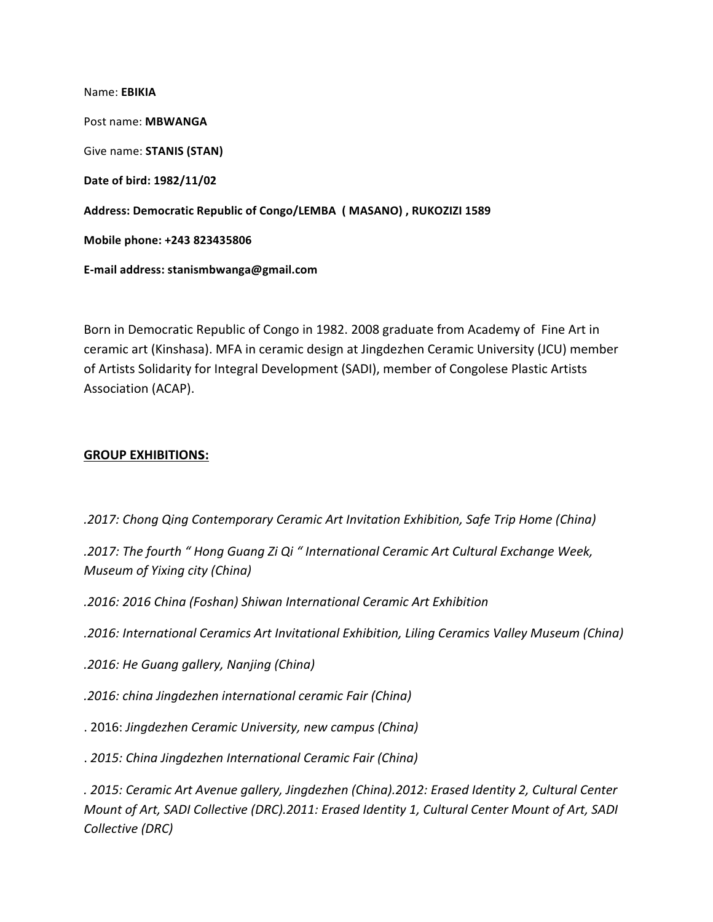Name: **EBIKIA** Post name: **MBWANGA** Give name: **STANIS (STAN) Date of bird: 1982/11/02** Address: Democratic Republic of Congo/LEMBA ( MASANO), RUKOZIZI 1589 **Mobile phone: +243 823435806 E-mail address: stanismbwanga@gmail.com**

Born in Democratic Republic of Congo in 1982. 2008 graduate from Academy of Fine Art in ceramic art (Kinshasa). MFA in ceramic design at Jingdezhen Ceramic University (JCU) member of Artists Solidarity for Integral Development (SADI), member of Congolese Plastic Artists Association (ACAP).

## **GROUP EXHIBITIONS:**

*.2017: Chong Qing Contemporary Ceramic Art Invitation Exhibition, Safe Trip Home (China)*

.2017: The fourth " Hong Guang Zi Qi " International Ceramic Art Cultural Exchange Week, *Museum of Yixing city (China)*

*.2016: 2016 China (Foshan) Shiwan International Ceramic Art Exhibition* 

*.2016: International Ceramics Art Invitational Exhibition, Liling Ceramics Valley Museum (China)*

*.2016: He Guang gallery, Nanjing (China)* 

*.2016: china Jingdezhen international ceramic Fair (China)* 

. 2016: *Jingdezhen Ceramic University, new campus (China)*

. *2015: China Jingdezhen International Ceramic Fair (China)*

*. 2015: Ceramic Art Avenue gallery, Jingdezhen (China).2012: Erased Identity 2, Cultural Center Mount of Art, SADI Collective (DRC).2011: Erased Identity 1, Cultural Center Mount of Art, SADI Collective (DRC)*